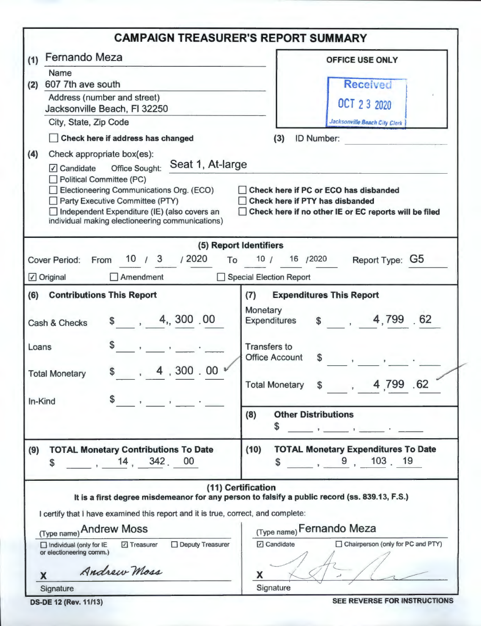|                                                                                                                                                                                                                                                                                                                                    | <b>CAMPAIGN TREASURER'S REPORT SUMMARY</b>                                                                                                                                                                                      |
|------------------------------------------------------------------------------------------------------------------------------------------------------------------------------------------------------------------------------------------------------------------------------------------------------------------------------------|---------------------------------------------------------------------------------------------------------------------------------------------------------------------------------------------------------------------------------|
| Fernando Meza<br>(1)                                                                                                                                                                                                                                                                                                               | <b>OFFICE USE ONLY</b>                                                                                                                                                                                                          |
| Name<br>607 7th ave south<br>(2)<br>Address (number and street)<br>Jacksonville Beach, FI 32250<br>City, State, Zip Code<br>Check here if address has changed                                                                                                                                                                      | <b>Received</b><br>OCT 2 3 2020<br>Jacksonville Boach City Clerk<br>(3)<br><b>ID Number:</b>                                                                                                                                    |
| (4)<br>Check appropriate box(es):<br>Seat 1, At-large<br><b>Office Sought:</b><br>$\sqrt{}$ Candidate<br><b>Political Committee (PC)</b><br>Electioneering Communications Org. (ECO)<br><b>Party Executive Committee (PTY)</b><br>Independent Expenditure (IE) (also covers an<br>individual making electioneering communications) | Check here if PC or ECO has disbanded<br>Check here if PTY has disbanded<br>Check here if no other IE or EC reports will be filed                                                                                               |
|                                                                                                                                                                                                                                                                                                                                    | (5) Report Identifiers                                                                                                                                                                                                          |
| $10^{1}$ 3 $1^{2020}$<br><b>Cover Period:</b><br>From<br>To                                                                                                                                                                                                                                                                        | 16 /2020<br>10/<br>Report Type: G5                                                                                                                                                                                              |
| $\Box$ Amendment<br>☑ Original                                                                                                                                                                                                                                                                                                     | Special Election Report                                                                                                                                                                                                         |
| <b>Contributions This Report</b><br>(6)<br>\$, 4, 300.00<br>Cash & Checks<br>Loans<br>4,300.00<br>\$<br><b>Total Monetary</b><br>In-Kind                                                                                                                                                                                           | (7)<br><b>Expenditures This Report</b><br>Monetary<br>\$ 4,799.62<br><b>Expenditures</b><br><b>Transfers to</b><br><b>Office Account</b><br>$\mathbf{\$}$<br>4 799 62<br><b>Total Monetary</b>                                  |
|                                                                                                                                                                                                                                                                                                                                    | <b>Other Distributions</b><br>(8)<br>S                                                                                                                                                                                          |
| <b>TOTAL Monetary Contributions To Date</b><br>(9)<br>, 14, 342, 00<br>\$                                                                                                                                                                                                                                                          | <b>TOTAL Monetary Expenditures To Date</b><br>(10)<br>9, 103, 19<br>\$                                                                                                                                                          |
| I certify that I have examined this report and it is true, correct, and complete:<br>(Type name) Andrew Moss<br>Deputy Treasurer<br>□ Treasurer<br>$\Box$ Individual (only for IE<br>or electioneering comm.)<br>Andrew Moss<br>X<br>Signature                                                                                     | (11) Certification<br>It is a first degree misdemeanor for any person to falsify a public record (ss. 839.13, F.S.)<br>(Type name) Fernando Meza<br><b>7</b> Candidate<br>□ Chairperson (only for PC and PTY)<br>X<br>Signature |

**DS-DE 12 (Rev. 11/13)** 

SEE REVERSE FOR INSTRUCTIONS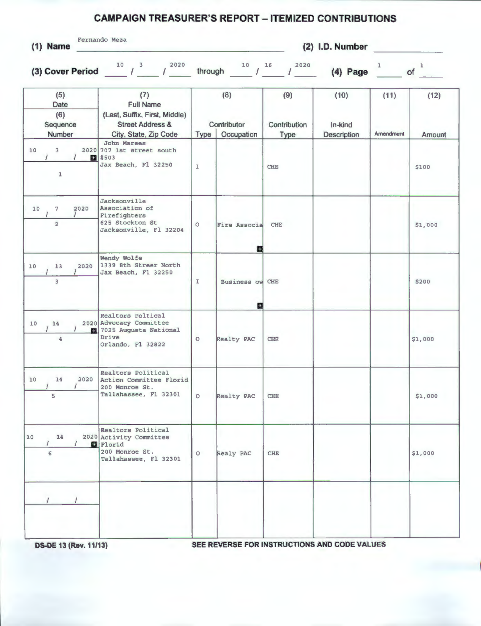## **CAMPAIGN TREASURER'S REPORT - ITEMIZED CONTRIBUTIONS**

| $(1)$ Name |
|------------|

Fernando Meza

**(2) I.D. Number** 

**(3) Cover Period**  $10^{10}$  /  $3^{2020}$  through  $10^{16}$  /  $2020$  **(4) Page of of** 

| (5)<br>Date<br>(6)<br>Sequence<br>Number |                                  | (7)<br><b>Full Name</b><br>(Last, Suffix, First, Middle)<br><b>Street Address &amp;</b><br>City, State, Zip Code | Type          | (8)<br>Contributor<br>Occupation | (9)<br>Contribution<br>Type | (10)<br>In-kind<br>Description | (11)<br>Amendment | (12)<br>Amount |
|------------------------------------------|----------------------------------|------------------------------------------------------------------------------------------------------------------|---------------|----------------------------------|-----------------------------|--------------------------------|-------------------|----------------|
| 10                                       | 3<br>æ.<br>1                     | John Marees<br>2020 707 1st street south<br>#503<br>Jax Beach, Fl 32250                                          | $\mathbbm{I}$ |                                  | <b>CHE</b>                  |                                |                   | \$100          |
| 10                                       | $\tau$<br>2020<br>$\overline{2}$ | Jacksonville<br>Association of<br>Firefighters<br>625 Stockton St<br>Jacksonville, Fl 32204                      | $\circ$       | Fire Associa                     | <b>CHE</b>                  |                                |                   | \$1,000        |
| 10                                       | 2020<br>13<br>3                  | Wendy Wolfe<br>1339 8th Streer North<br>Jax Beach, Fl 32250                                                      | $\mathbbm{1}$ | П<br><b>Business ow</b>          | <b>CHE</b>                  |                                |                   | \$200          |
| 10                                       | 14<br>图<br>4                     | Realtors Poltical<br>2020 Advocacy Committee<br>7025 Augusta National<br>Drive<br>Orlando, Fl 32822              | $\circ$       | E<br>Realty PAC                  | <b>CHE</b>                  |                                |                   | \$1,000        |
| 10                                       | 14<br>2020<br>5                  | Realtors Political<br>Action Committee Florid<br>200 Monroe St.<br>Tallahassee, Fl 32301                         | $\circ$       | <b>Realty PAC</b>                | <b>CHE</b>                  |                                |                   | \$1,000        |
| $10$                                     | 14<br>6                          | Realtors Political<br>2020 Activity Committee<br>Florid<br>200 Monroe St.<br>Tallahassee, Fl 32301               | $\circ$       | Realy PAC                        | CHE                         |                                |                   | \$1,000        |
|                                          |                                  |                                                                                                                  |               |                                  |                             |                                |                   |                |

**DS-DE 13 (Rev. 11/13) SEE REVERSE FOR INSTRUCTIONS AND CODE VALUES**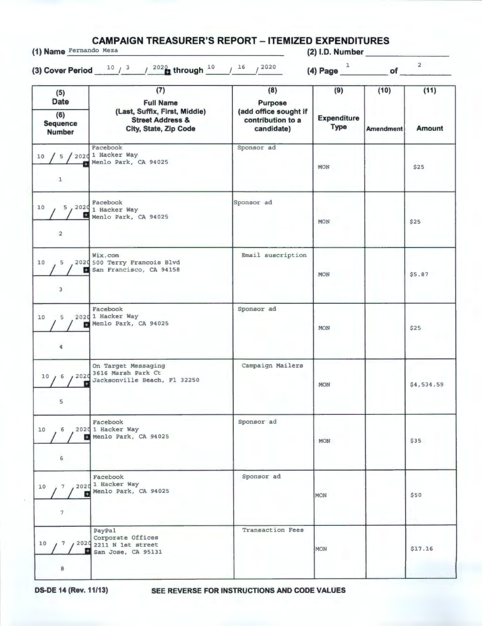**CAMPAIGN TREASURER'S REPORT - ITEMIZED EXPENDITURES (1) Name** Fernando Meza **(2) 1.0. Number \_ \_\_\_\_\_\_ \_** 

(3) Cover Period <u>10 / 3 / 2020</u> through 10  $\frac{1}{\sqrt{16}}$  /  $\frac{2020}{1}$  **(4) Page**  $\frac{1}{\sqrt{11}}$  of  $\frac{2}{\sqrt{11}}$ 

| (5)<br><b>Date</b>                         | (7)<br><b>Full Name</b>                                                                      | (8)<br><b>Purpose</b>                                    | (9)                               | (10)<br><b>Amendment</b> | (11)          |
|--------------------------------------------|----------------------------------------------------------------------------------------------|----------------------------------------------------------|-----------------------------------|--------------------------|---------------|
| (6)<br><b>Sequence</b><br><b>Number</b>    | (Last, Suffix, First, Middle)<br><b>Street Address &amp;</b><br><b>City, State, Zip Code</b> | (add office sought if<br>contribution to a<br>candidate) | <b>Expenditure</b><br><b>Type</b> |                          | <b>Amount</b> |
| 10 / 5 / 2020 1 Hacker Way<br>$\mathbf{I}$ | Facebook<br>Menlo Park, CA 94025                                                             | Sponsor ad                                               | <b>MON</b>                        |                          | \$25          |
| 5,2020<br>10<br>罡<br>$\overline{2}$        | Facebook<br>1 Hacker Way<br>Menlo Park, CA 94025                                             | Sponsor ad                                               | <b>MON</b>                        |                          | \$25          |
| $5 -$<br>10 <sub>1</sub><br>3              | Wix.com<br>2020 500 Terry Francois Blvd<br>San Francisco, CA 94158                           | Email suscription                                        | <b>MON</b>                        |                          | \$5.87        |
| 5<br>10<br>Ð<br>$\ddot{\phantom{a}}$       | Facebook<br>2020 1 Hacker Way<br>Menlo Park, CA 94025                                        | Sponsor ad                                               | <b>MON</b>                        |                          | \$25          |
| 10/6 / 2020<br>5                           | On Target Messaging<br>3616 Marsh Park Ct<br>Jacksonville Beach, Fl 32250                    | Campaign Mailers                                         | <b>MON</b>                        |                          | \$4,534.59    |
| 6<br>10<br>$\prime$<br>$\epsilon$          | Facebook<br>2020 1 Hacker Way<br>Menlo Park, CA 94025                                        | Sponsor ad                                               | <b>MON</b>                        |                          | \$35          |
| 10<br>7<br>霞<br>7                          | Facebook<br>2020 <sup>1</sup> Hacker Way<br>Menlo Park, CA 94025                             | Sponsor ad                                               | <b>MON</b>                        |                          | \$50          |
| 10<br>7<br>8                               | PayPal<br>Corporate Offices<br>/ 2020 2211 N 1st street<br>San Jose, CA 95131                | Transaction Fees                                         | MON                               |                          | \$17.16       |

**DS-DE 14 (Rev. 11/13) SEE REVERSE FOR INSTRUCTIONS AND CODE VALUES**